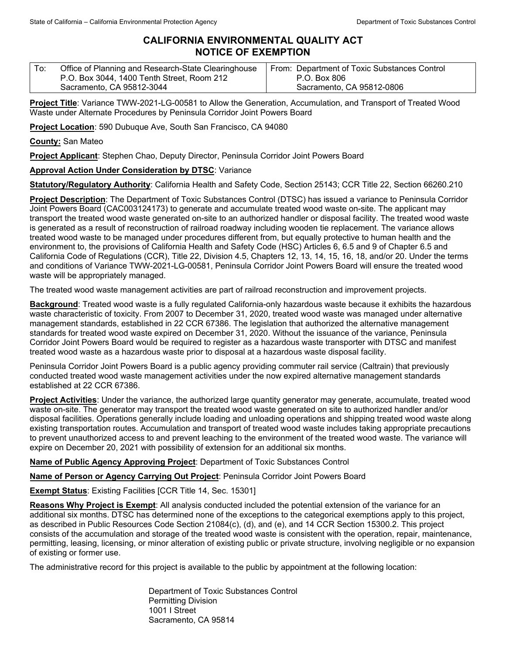## **CALIFORNIA ENVIRONMENTAL QUALITY ACT NOTICE OF EXEMPTION**

| To: | Office of Planning and Research-State Clearinghouse | From: Department of Toxic Substances Control |
|-----|-----------------------------------------------------|----------------------------------------------|
|     | P.O. Box 3044, 1400 Tenth Street, Room 212          | P.O. Box 806                                 |
|     | Sacramento, CA 95812-3044                           | Sacramento, CA 95812-0806                    |

**Project Title**: Variance TWW-2021-LG-00581 to Allow the Generation, Accumulation, and Transport of Treated Wood Waste under Alternate Procedures by Peninsula Corridor Joint Powers Board

**Project Location**: 590 Dubuque Ave, South San Francisco, CA 94080

**County:** San Mateo

**Project Applicant**: Stephen Chao, Deputy Director, Peninsula Corridor Joint Powers Board

## **Approval Action Under Consideration by DTSC**: Variance

**Statutory/Regulatory Authority**: California Health and Safety Code, Section 25143; CCR Title 22, Section 66260.210

**Project Description**: The Department of Toxic Substances Control (DTSC) has issued a variance to Peninsula Corridor Joint Powers Board (CAC003124173) to generate and accumulate treated wood waste on-site. The applicant may transport the treated wood waste generated on-site to an authorized handler or disposal facility. The treated wood waste is generated as a result of reconstruction of railroad roadway including wooden tie replacement. The variance allows treated wood waste to be managed under procedures different from, but equally protective to human health and the environment to, the provisions of California Health and Safety Code (HSC) Articles 6, 6.5 and 9 of Chapter 6.5 and California Code of Regulations (CCR), Title 22, Division 4.5, Chapters 12, 13, 14, 15, 16, 18, and/or 20. Under the terms and conditions of Variance TWW-2021-LG-00581, Peninsula Corridor Joint Powers Board will ensure the treated wood waste will be appropriately managed.

The treated wood waste management activities are part of railroad reconstruction and improvement projects.

**Background**: Treated wood waste is a fully regulated California-only hazardous waste because it exhibits the hazardous waste characteristic of toxicity. From 2007 to December 31, 2020, treated wood waste was managed under alternative management standards, established in 22 CCR 67386. The legislation that authorized the alternative management standards for treated wood waste expired on December 31, 2020. Without the issuance of the variance, Peninsula Corridor Joint Powers Board would be required to register as a hazardous waste transporter with DTSC and manifest treated wood waste as a hazardous waste prior to disposal at a hazardous waste disposal facility.

Peninsula Corridor Joint Powers Board is a public agency providing commuter rail service (Caltrain) that previously conducted treated wood waste management activities under the now expired alternative management standards established at 22 CCR 67386.

**Project Activities**: Under the variance, the authorized large quantity generator may generate, accumulate, treated wood waste on-site. The generator may transport the treated wood waste generated on site to authorized handler and/or disposal facilities. Operations generally include loading and unloading operations and shipping treated wood waste along existing transportation routes. Accumulation and transport of treated wood waste includes taking appropriate precautions to prevent unauthorized access to and prevent leaching to the environment of the treated wood waste. The variance will expire on December 20, 2021 with possibility of extension for an additional six months.

**Name of Public Agency Approving Project**: Department of Toxic Substances Control

**Name of Person or Agency Carrying Out Project**: Peninsula Corridor Joint Powers Board

**Exempt Status**: Existing Facilities [CCR Title 14, Sec. 15301]

**Reasons Why Project is Exempt**: All analysis conducted included the potential extension of the variance for an additional six months. DTSC has determined none of the exceptions to the categorical exemptions apply to this project, as described in Public Resources Code Section 21084(c), (d), and (e), and 14 CCR Section 15300.2. This project consists of the accumulation and storage of the treated wood waste is consistent with the operation, repair, maintenance, permitting, leasing, licensing, or minor alteration of existing public or private structure, involving negligible or no expansion of existing or former use.

The administrative record for this project is available to the public by appointment at the following location:

Department of Toxic Substances Control Permitting Division 1001 I Street Sacramento, CA 95814